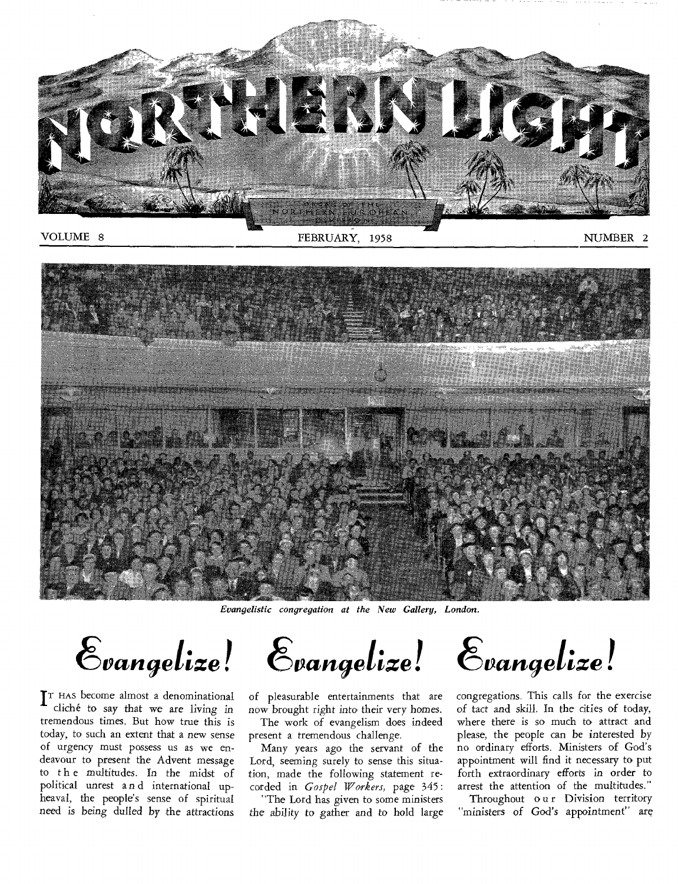

VOLUME 8

#### FEBRUARY, 1958

NUMBER 2



*Evangelistic congregation at the New Gallery, London.* 

 $\mathcal{E}_{vangle}$   $\mathcal{E}_{vangle}$   $\mathcal{E}_{vangle}$   $\mathcal{E}_{vangle}$ 

 $\mathbf{T}$ <sup>T</sup> HAS become almost a denominational cliché to say that we are living in cliché to say that we are living in tremendous times. But how true this is today, to such an extent that a new sense of urgency must possess us as we endeavour to present the Advent message to the multitudes. In the midst of political unrest a n d international upheaval, the people's sense of spiritual *need* is being dulled by the attractions

of pleasurable entertainments that are now brought right into their very homes.

The work of evangelism does indeed present a tremendous challenge.

Many years ago the servant of the Lord, seeming surely to sense this situation, made the following statement recorded in *Gospel Workers,* page 345:

"The Lord has given to some ministers *the ability* to gather and to hold large

congregations. This calls for the exercise of tact and skill. In the cities of today, where there is so much to attract and please, the people can be interested by no ordinary efforts. Ministers of God's appointment will find it necessary to put forth extraordinary efforts in order to arrest the attention of the multitudes."

Throughout our Division territory "ministers of God's appointment" are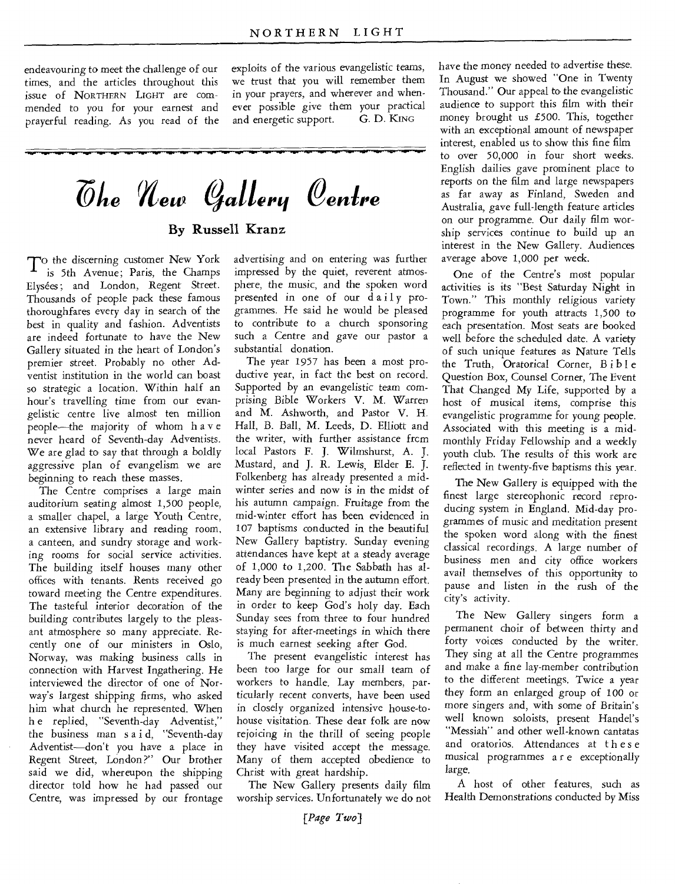endeavouring to meet the challenge of our times, and the articles throughout this issue of NORTHERN LIGHT are commended to you for your earnest and prayerful reading. As you read of the exploits of the various evangelistic teams, we trust that you will remember them in your prayers, and wherever and whenever possible give them your practical<br>and energetic support. G. D. KING and energetic support.

 $\bar{\mathcal{O}}$ *he New Gallery Centre* By Russell Kranz

 $T^{\rm o}$  the discerning customer New York is 5th Avenue; Paris, the Champs Elysées; and London, Regent Street. Thousands of people pack these famous thoroughfares every day in search of the best in quality and fashion. Adventists are indeed fortunate to have the New Gallery situated in the heart of London's premier street. Probably no other Adventist institution in the world can boast so strategic a location. Within half an hour's travelling time from our evangelistic centre live almost ten million people—the majority of whom have never heard of Seventh-day Adventists. We are glad to say that through a boldly aggressive plan of evangelism we are beginning to reach these masses.

The Centre comprises a large main auditorium seating almost 1,500 people, a smaller chapel, a large Youth Centre, an extensive library and reading room, a canteen, and sundry storage and working rooms for social service activities. The building itself houses many other offices with tenants. Rents received go toward meeting the Centre expenditures. The tasteful interior decoration of the building contributes largely to the pleasant atmosphere so many appreciate. Recently one of our ministers in Oslo, Norway, was making business calls in connection with Harvest Ingathering. He interviewed the director of one of Norway's largest shipping firms, who asked him what church he represented. When h e replied, "Seventh-day Adventist," the business man s a i d, "Seventh-day Adventist—don't you have a place in Regent Street, London ?" Our brother said we did, whereupon the shipping director told how he had passed our Centre, was impressed by our frontage

advertising and on entering was further impressed by the quiet, reverent atmosphere, the music, and the spoken word presented in one of our daily programmes. He said he would be pleased to contribute to a church sponsoring such a Centre and gave our pastor a substantial donation.

The year 1957 has been a most productive year, in fact the best on record. Supported by an evangelistic team comprising Bible Workers V. M. Warren and M. Ashworth, and Pastor V. H. Hall, B. Ball, M. Leeds, D. Elliott and the writer, with further assistance frcm local Pastors F. J. Wilmshurst, A. J. Mustard, and J. R. Lewis, Elder E. J. Folkenberg has already presented a midwinter series and now is in the midst of his autumn campaign. Fruitage from the mid-winter effort has been evidenced in 107 baptisms conducted in the beautiful New Gallery baptistry. Sunday evening attendances have kept at a steady average of 1,000 to 1,200. The Sabbath has already been presented in the autumn effort. Many are beginning to adjust their work in order to keep God's holy day. Each Sunday sees from three to four hundred staying for after-meetings in which there is much earnest seeking after God.

The present evangelistic interest has been too large for our small team of workers to handle. Lay members, particularly recent converts, have been used in closely organized intensive house-tohouse visitation. These dear folk are now rejoicing in the thrill of seeing people they have visited accept the message. Many of them accepted obedience to Christ with great hardship.

The New Gallery presents daily film worship services. Unfortunately we do not

have the money needed to advertise these. In August we showed "One in Twenty Thousand." Our appeal to the evangelistic audience to support this film with their money brought us £500. This, together with an exceptional amount of newspaper interest, enabled us to show this fine film to over 50,000 in four short weeks. English dailies gave prominent place to reports on the film and large newspapers as far away as Finland, Sweden and Australia, gave full-length feature articles on our programme. Our daily film worship services continue to build up an interest in the New Gallery. Audiences average above 1,000 per week.

One of the Centre's most popular activities is its "Best Saturday Night in Town." This monthly religious variety programme for youth attracts 1,500 to each presentation. Most seats are booked well before the scheduled date. A variety of such unique features as Nature Tells the Truth, Oratorical Corner, Bible Question Box, Counsel Corner, The Event That Changed My Life, supported by a host of musical items, comprise this evangelistic programme for young people. Associated with this meeting is a midmonthly Friday Fellowship and a weekly youth club. The results of this work are reflected in twenty-five baptisms this year.

The New Gallery is equipped with the finest large stereophonic record reproducing system in England. Mid-day programmes of music and meditation present the spoken word along with the finest classical recordings. A large number of business men and city office workers avail themselves of this opportunity to pause and listen in the rush of the city's activity.

The New Gallery singers form a permanent choir of between thirty and forty voices conducted by the writer. They sing at all the Centre programmes and make a fine lay-member contribution to the different meetings. Twice a year they form an enlarged group of 100 or more singers and, with some of Britain's well known soloists, present Handel's "Messiah" and other well-known cantatas and oratorios. Attendances at these musical programmes a r e exceptionally large.

A host of other features, such as Health Demonstrations conducted by Miss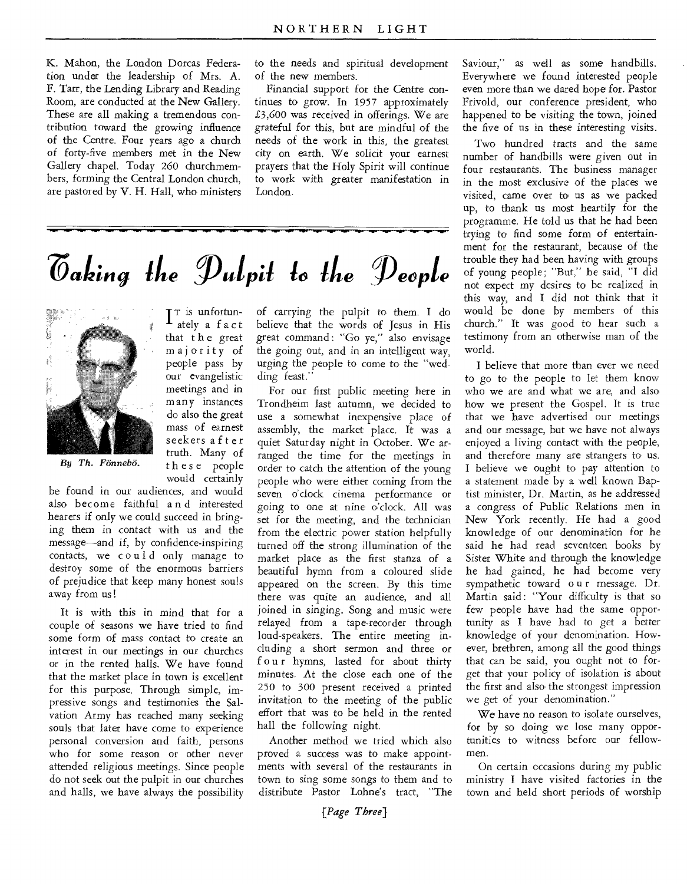K. Mahon, the London Dorcas Federation under the leadership of Mrs. A. F. Tarr, the Lending Library and Reading Room, are conducted at the New Gallery. These are all making a tremendous contribution toward the growing influence of the Centre. Four years ago a church of forty-five members met in the New Gallery chapel. Today 260 churchmembers, forming the Central London church, are pastored by V. H. Hall, who ministers to the needs and spiritual development of the new members.

Financial support for the Centre continues to grow. In 1957 approximately £3,600 was received in offerings. We are grateful for this, but are mindful of the needs of the work in this, the greatest city on earth. We solicit your earnest prayers that the Holy Spirit will continue to work with greater manifestation in London.

## *Vaking the Pulpit to the People*

I<sup>T</sup> is unfortun-<br>ately a fact ately a f act that t h e great majority of people pass by our evangelistic meetings and in many instances do also the great mass of earnest seekers a f t er truth. Many of these people would certainly



*By Th. Fonnebo.* 

be found in our audiences, and would also become faithful a n d interested hearers if only we could succeed in bringing them in contact with us and the message—and if, by confidence-inspiring contacts, we c o u 1 d only manage to destroy some of the enormous barriers of prejudice that keep many honest souls away from us!

It is with this in mind that for a couple of seasons we have tried to find some form of mass contact to create an interest in our meetings in our churches or in the rented halls. We have found that the market place in town is excellent for this purpose. Through simple, impressive songs and testimonies the Salvation Army has reached many seeking souls that later have come to experience personal conversion and faith, persons who for some reason or other never attended religious meetings. Since people do not seek out the pulpit in our churches and halls, we have always the possibility

of carrying the pulpit to them. I do believe that the words of Jesus in His great command : "Go ye," also envisage the going out, and in an intelligent way, urging the people to come to the "wedding feast.'

For our first public meeting here in Trondheim last autumn, we decided to use a somewhat inexpensive place of assembly, the market place. It was a quiet Saturday night in October. We arranged the time for the meetings in order to catch the attention of the young people who were either coming from the seven o'clock cinema performance or going to one at nine o'clock. All was set for the meeting, and the technician from the electric power station helpfully turned off the strong illumination of the market place as the first stanza of a beautiful hymn from a coloured slide appeared on the screen. By this time there was quite an audience, and all joined in singing. Song and music were relayed from a tape-recorder through loud-speakers. The entire meeting including a short sermon and three or f our hymns, lasted for about thirty minutes. At the close each one of the 250 to 300 present received a printed invitation to the meeting of the public effort that was to be held in the rented hall the following night.

Another method we tried which also proved a success was to make appointments with several of the restaurants in town to sing some songs to them and to distribute Pastor Lohne's tract, "The

Saviour," as well as some handbills. Everywhere we found interested people even more than we dared hope for. Pastor Frivold, our conference president, who happened to be visiting the town, joined the five of us in these interesting visits.

Two hundred tracts and the same number of handbills were given out in four restaurants. The business manager in the most exclusive of the places we visited, came over to us as we packed up, to thank us most heartily for the programme. He told us that he had been trying to find some form of entertainment for the restaurant, because of the trouble they had been having with groups of young people; "But," he said, "I did not expect my desires to be realized in this way, and I did not think that it would be done by members of this church." It was good to hear such a testimony from an otherwise man of the world.

I believe that more than ever we need to go to the people to let them know who we are and what we are, and also how we present the Gospel. It is true that we have advertised our meetings and our message, but we have not always enjoyed a living contact with the people, and therefore many are strangers to us. I believe we ought to pay attention to a statement made by a well known Baptist minister, Dr. Martin, as he addressed a congress of Public Relations men in New York recently. He had a good knowledge of our denomination for he said he had read seventeen books by Sister White and through the knowledge he had gained, he had become very sympathetic toward o u r message. Dr. Martin said: "Your difficulty is that so few people have had the same opportunity as I have had to get a better knowledge of your denomination. However, brethren, among all the good things that can be said, you ought not to forget that your policy of isolation is about the first and also the strongest impression we get of your denomination."

*We* have no reason to isolate ourselves, for by so doing we lose many opportunities to witness before our fellowmen.

On certain occasions during my public ministry I have visited factories in the town and held short periods of worship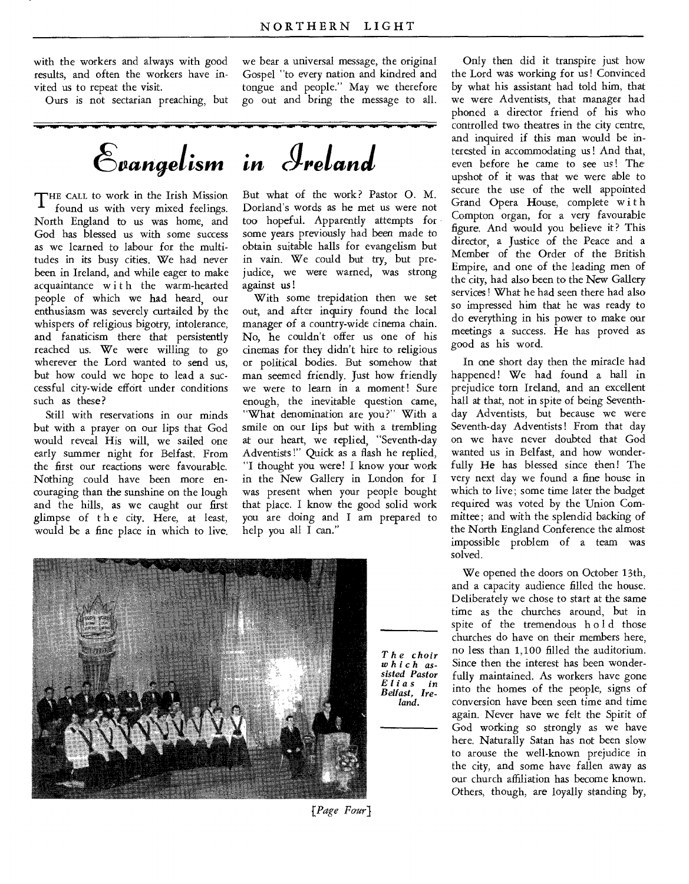with the workers and always with good results, and often the workers have invited us to repeat the visit.

Ours is not sectarian preaching, but

we bear a universal message, the original Gospel "to every nation and kindred and tongue and people." May we therefore go out and bring the message to all.

 $\mathcal{E}_{vangelism}$  in Ireland

THE CALL to work in the Irish Mission<br>found us with very mixed feelings. found us with very mixed feelings. North England to us was home, and God has blessed us with some success as we learned to labour for the multitudes in its busy cities. We had never been in Ireland, and while eager to make acquaintance with the warm-hearted people of which we had heard, our enthusiasm was severely curtailed by the whispers of religious bigotry, intolerance, and fanaticism there that persistently reached us. We were willing to go wherever the Lord wanted to send us, but how could we hope to lead a successful city-wide effort under conditions such as these?

Still with reservations in our minds but with a prayer on our lips that God would reveal His will, we sailed one early summer night for Belfast. From the first our reactions were favourable. Nothing could have been more encouraging than the sunshine on the lough and the hills, as we caught our first glimpse of t h e city. Here, at least, would be a fine place in which to live. But what of the work? Pastor 0. M. Dorland's words as he met us were not too hopeful. Apparently attempts for some years previously had been made to obtain suitable halls for evangelism but in vain. We could but try, but prejudice, we were warned, was strong against us!

With some trepidation then we set out, and after inquiry found the local manager of a country-wide cinema chain. No, he couldn't offer us one of his cinemas for they didn't hire to religious or political bodies. But somehow that man seemed friendly. Just how friendly we were to learn in a moment! Sure enough, the inevitable question came, "What denomination are you?" With a smile on our lips but with a trembling at our heart, we replied, "Seventh-day Adventists !" Quick as a flash he replied, "I thought you were! I know your work in the New Gallery in London for I was present when your people bought that place. I know the good solid work you are doing and I am prepared to help you all I can."



*The choir which assisted Pastor Elias in Belfast, Ireland.* 

Only then did it transpire just how the Lord was working for us! Convinced by what his assistant had told him, that we were Adventists, that manager had phoned a director friend of his who controlled two theatres in the city centre, and inquired if this man would be interested in accommodating us ! And that, even before he came to see us ! The upshot of it was that we were able to secure the use of the well appointed Grand Opera House, complete with Compton organ, for a very favourable figure. And would you believe it? This director, a Justice of the Peace and a Member of the Order of the British Empire, and one of the leading men of the city, had also been to the *New* Gallery services ! What he had seen there had also so impressed him that he was ready to do everything in his power to make our meetings a success. He has proved as good as his word.

In one short day then the miracle had happened! We had found a hall in prejudice torn Ireland, and an excellent hall at that, not in spite of being Seventhday Adventists, but because we were Seventh-day Adventists! From that day on we have never doubted that God wanted us in Belfast, and how wonderfully He has blessed since then! The very next day we found a fine house in which to live; some time later the budget required was voted by the Union Committee; and with the splendid backing of the North England Conference the almost impossible problem of a team was solved.

We opened the doors on October 13th, and a capacity audience filled the house. Deliberately we chose to start at the same time as the churches around, but in spite of the tremendous hold those churches do have on their members here, no less than 1,100 filled the auditorium. Since then the interest has been wonderfully maintained. As workers have gone into the homes of the people, signs of conversion have been seen time and time again. Never have we felt the Spirit of God working so strongly as we have here. Naturally Satan has not been slow to arouse the well-known prejudice in the city, and some have fallen away as our church affiliation has become known. Others, though, are loyally standing by,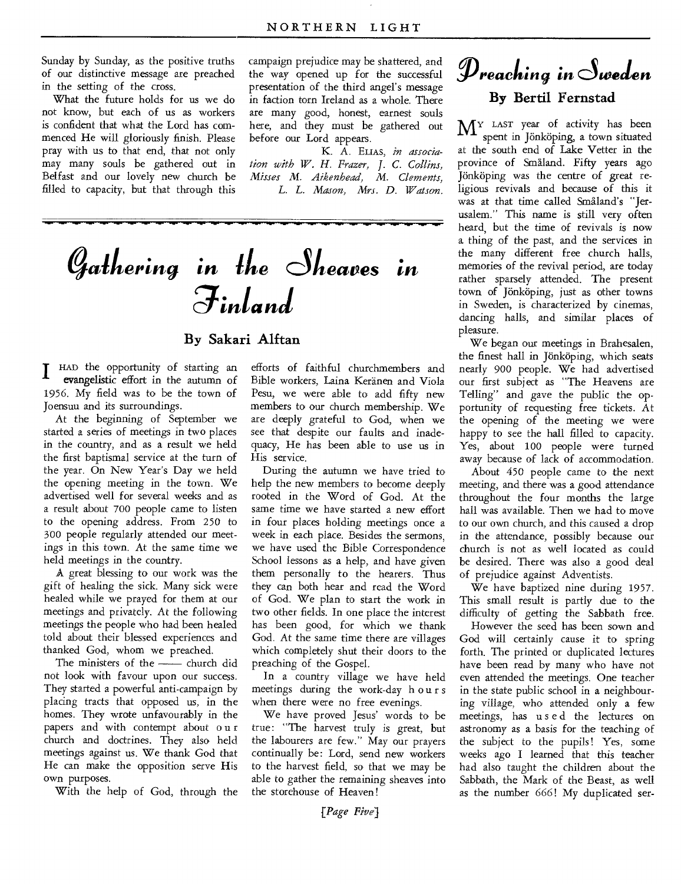Sunday by Sunday, as the positive truths of our distinctive message are preached in the setting of the cross.

What the future holds for us we do not know, but each of us as workers is confident that what the Lord has commenced He will gloriously finish. Please pray with us to that end, that not only may many souls be gathered out in Belfast and our lovely new church be filled to capacity, but that through this campaign prejudice may be shattered, and the way opened up for the successful presentation of the third angel's message in faction torn Ireland as a whole. There are many good, honest, earnest souls here, and they must be gathered out before our Lord appears.

K. A. ELIAS, *in association with W. H. Frazer, J. C. Collins, Misses M. Aikenhead, M. Clements, L. L. Mason, Mrs. D. Watson.* 

# Gathering in the Sheaves in  $\widetilde{J}$ *inland*

### **By Sakari Alftan**

 $\prod_{105}$ HAD the opportunity of starting an evangelistic effort in the autumn of 1956. My field was to be the town of Joensuu and its surroundings.

At the beginning of September we started a series of meetings in two places in the country, and as a result we held the first baptismal service at the turn of the year. On New Year's Day we held the opening meeting in the town. We advertised well for several weeks and as a result about 700 people came to listen to the opening address. From 250 to 300 people regularly attended our meetings in this town. At the same time we held meetings in the country.

A great blessing to our work was the gift of healing the sick. Many sick were healed while we prayed for them at our meetings and privately. At the following meetings the people who had been healed told about their blessed experiences and thanked God, whom we preached.

The ministers of the  $\frac{1}{\sqrt{1-\frac{1}{\sqrt{1-\frac{1}{\sqrt{1-\frac{1}{\sqrt{1-\frac{1}{\sqrt{1-\frac{1}{\sqrt{1-\frac{1}{\sqrt{1-\frac{1}{\sqrt{1-\frac{1}{\sqrt{1-\frac{1}{\sqrt{1-\frac{1}{\sqrt{1-\frac{1}{\sqrt{1-\frac{1}{\sqrt{1-\frac{1}{\sqrt{1-\frac{1}{\sqrt{1-\frac{1}{\sqrt{1-\frac{1}{\sqrt{1-\frac{1}{\sqrt{1-\frac{1}{\sqrt{1-\frac{1}{\sqrt{1-\frac{1}{\sqrt{1-\frac{1}{\sqrt{1-\$ not look with favour upon our success. They started a powerful anti-campaign by placing tracts that opposed us, in the homes. They wrote unfavourably in the papers and with contempt about o u r church and doctrines. They also held meetings against us. We thank God that He can make the opposition serve His own purposes.

With the help of God, through the

efforts of faithful churchmembers and Bible workers, Laina Keranen and Viola Pesu, we were able to add fifty new members to our church membership. We are deeply grateful to God, when we see that despite our faults and inadequacy, He has been able to use us in His service.

During the autumn we have tried to help the new members to become deeply rooted in the Word of God. At the same time we have started a new effort in four places holding meetings once a week in each place. Besides the sermons, we have used the Bible Correspondence School lessons as a help, and have given them personally to the hearers. Thus they can both hear and read the Word of God. We plan to start the work in two other fields. In one place the interest has been good, for which we thank God. At the same time there are villages which completely shut their doors to the preaching of the Gospel.

In a country village we have held meetings during the work-day hours when there were no free evenings.

We have proved Jesus' words to be true: "The harvest truly is great, but the labourers are few." May our prayers continually be: Lord, send new workers to the harvest field, so that we may be able to gather the remaining sheaves into the storehouse of Heaven!

## $\mathscr{P}$ reaching in Sweden **By Bertil Fernstad**

MY LAST year of activity has been spent in Jönköping, a town situated at the south end of Lake Vetter in the province of Smaland. Fifty years ago Jönköping was the centre of great religious revivals and because of this it was at that time called Smaland's "Jerusalem." This name is still very often heard, but the time of revivals is now a thing of the past, and the services in the many different free church halls, memories of the revival period, are today rather sparsely attended. The present town of Jönköping, just as other towns in Sweden, is characterized by cinemas, dancing halls, and similar places of pleasure.

We began our meetings in Brahesalen, the finest hall in Jonkoping, which seats nearly 900 people. We had advertised our first subject as "The Heavens are Telling" and gave the public the opportunity of requesting free tickets. At the opening of the meeting we were happy to see the hall filled to capacity. Yes, about 100 people were turned away because of lack of accommodation.

About 450 people came to the next meeting, and there was a good attendance throughout the four months the large hall was available. Then we had to move to our own church, and this caused a drop in the attendance, possibly because our church is not as well located as could be desired. There was also a good deal of prejudice against Adventists.

We have baptized nine during 1957. This small result is partly due to the difficulty of getting the Sabbath free.

However the seed has been sown and God will certainly cause it to spring forth. The printed or duplicated lectures have been read by many who have not even attended the meetings. One teacher in the state public school in a neighbouring village, who attended only a few meetings, has used the lectures on astronomy as a basis for the teaching of the subject to the pupils! Yes, some weeks ago I learned that this teacher had also taught the children about the Sabbath, the Mark of the Beast, as well as the number 666! My duplicated ser-

*[Page Five]*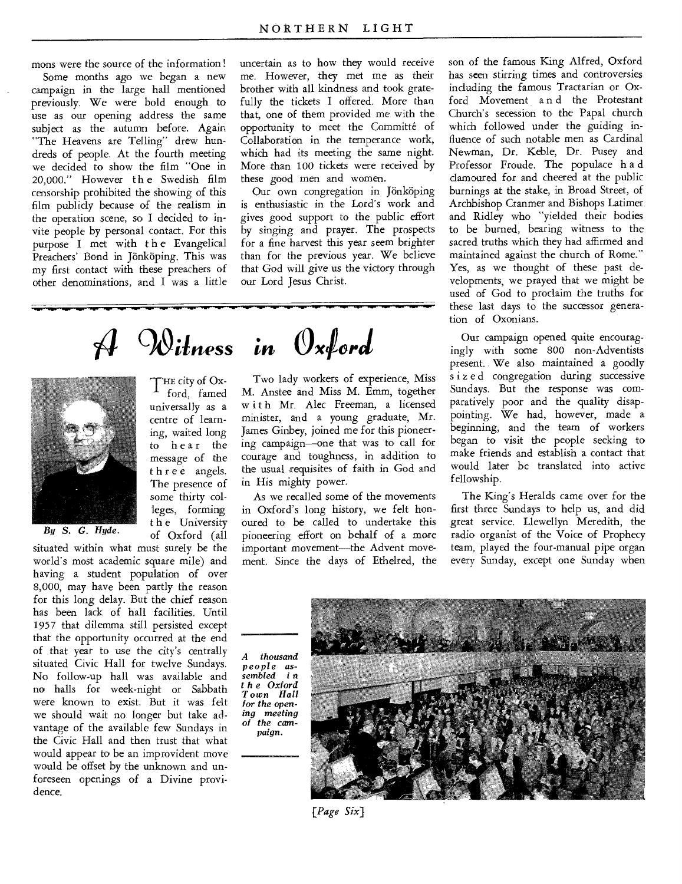mons were the source of the information!

Some months ago we began a new campaign in the large hall mentioned previously. We were bold enough to use as our opening address the same subject as the autumn before. Again "The Heavens are Telling" drew hundreds of people. At the fourth meeting we decided to show the film "One in 20,000." However the Swedish film censorship prohibited the showing of this film publicly because of the realism in the operation scene, so I decided to invite people by personal contact. For this purpose I met with the Evangelical Preachers' Bond in Jönköping. This was my first contact with these preachers of other denominations, and I was a little uncertain as to how they would receive me. However, they met me as their brother with all kindness and took gratefully the tickets I offered. More than that, one of them provided me with the opportunity to meet the Committé of Collaboration in the temperance work, which had its meeting the same night. More than 100 tickets were received by these good men and women.

Our own congregation in Jönköping is enthusiastic in the Lord's work and gives good support to the public effort by singing and prayer. The prospects for a fine harvest this year seem brighter than for the previous year. We believe that God will give us the victory through our Lord Jesus Christ.

*gaiiness in Oxford* 

THE city of Ox-<br>ford. famed ford, famed universally as a centre of learning, waited long to hear the message of the three angels. The presence of some thirty colleges, forming t h e University



*By S. G. Hyde.* of Oxford (all

situated within what must surely be the world's most academic square mile) and having a student population of over 8,000, may have been partly the reason for this long delay. But the chief reason has been lack of hall facilities. Until 1957 that dilemma still persisted except that the opportunity occurred at the end of that year to use the city's centrally situated Civic Hall for twelve Sundays. No follow-up hall was available and no halls for week-night or Sabbath were known to exist. But it was felt we should wait no longer but take advantage of the available few Sundays in the Civic Hall and then trust that what would appear to be an improvident move would be offset by the unknown and unforeseen openings of a Divine providence.

Two lady workers of experience, Miss M. Anstee and Miss M. Emm, together with Mr. Alec Freeman, a licensed minister, and a young graduate, Mr. James Ginbey, joined me for this pioneering campaign—one that was to call for courage and toughness, in addition to the usual requisites of faith in God and in His mighty power.

As we recalled some of the movements in Oxford's long history, we felt honoured to be called to undertake this pioneering effort on behalf of a more important movement—the Advent movement. Since the days of Ethelred, the son of the famous King Alfred, Oxford has seen stirring times and controversies including the famous Tractarian or Oxford Movement a n d the Protestant Church's secession to the Papal church which followed under the guiding influence of such notable men as Cardinal Newman, Dr. Keble, Dr. Pusey and Professor Froude. The populace h a d clamoured for and cheered at the public burnings at the stake, in Broad Street, of Archbishop Cranmer and Bishops Latimer and Ridley who "yielded their bodies to be burned, bearing witness to the sacred truths which they had affirmed and maintained against the church of Rome." Yes, as we thought of these past developments, we prayed that we might be used of God to proclaim the truths for these last days to the successor generation of Oxonians.

Our campaign opened quite encouragingly with some 800 non-Adventists present. We also maintained a goodly sized congregation during successive Sundays. But the response was comparatively poor and the quality disappointing. We had, however, made a beginning, and the team of workers began to visit the people seeking to make friends and establish a contact that would later be translated into active fellowship.

The King's Heralds came over for the first three Sundays to help us, and did great service. Llewellyn Meredith, the radio organist of the Voice of Prophecy team, played the four-manual pipe organ every Sunday, except one Sunday when

*A thousand people assembled i* n *t h e Oxford Town Hall for the opening meeting of the campaign.* 



*[Page Six]*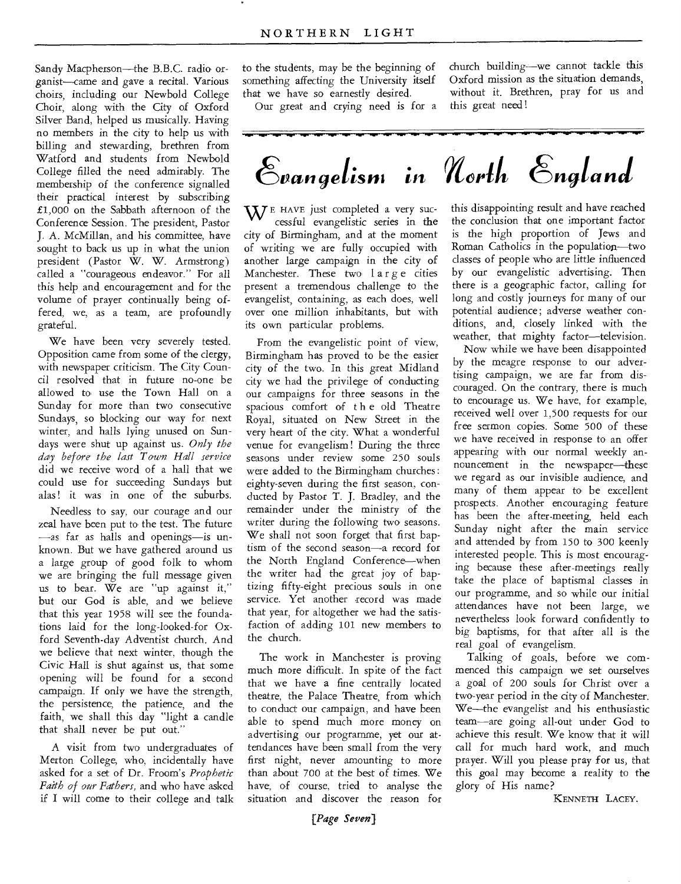Sandy Macpherson—the B.B.C. radio organist—came and gave a recital. Various choirs, including our Newbold College Choir, along with the City of Oxford Silver Band, helped us musically. Having no members in the city to help us with billing and stewarding, brethren from Watford and students from Newbold College filled the need admirably. The membership of the conference signalled their practical interest by subscribing £1,000 on the Sabbath afternoon of the Conference Session. The president, Pastor J. A. McMillan, and his committee, have sought to back us up in what the union president (Pastor W. W. Armstrong) called a "courageous endeavor." For all this help and encouragement and for the volume of prayer continually being offered, we, as a team, are profoundly grateful.

We have been very severely tested. Opposition came from some of the clergy, with newspaper criticism. The City Council resolved that in future no-one be allowed to use the Town Hall on a Sunday for more than two consecutive Sundays, so blocking our way for next winter, and halls lying unused on Sundays were shut up against us. *Only the day before the last Town Hall service*  did we receive word of a hall that we could use for succeeding Sundays but alas! it was in one of the suburbs.

Needless to say, our courage and our zeal have been put to the test. The future —as far as halls and openings—is unknown. But we have gathered around us a large group of good folk to whom we are bringing the full message given us to bear. We are "up against it," but our God is able, and we believe that this year 1958 will see the foundations laid for the long-looked-for Oxford Seventh-day Adventist church. And we believe that next winter, though the Civic Hall is shut against us, that some opening will be found for a second campaign. If only we have the strength, the persistence, the patience, and the faith, we shall this day "light a candle that shall never be put out."

A visit from two undergraduates of Merton College, who, incidentally have asked for a set of Dr. Froom's *Prophetic Faith of our Fathers,* and who have asked if I will come to their college and talk

to the students, may be the beginning of something affecting the University itself that we have so earnestly desired.

Our great and crying need is for a

church building—we cannot tackle this Oxford mission as the situation demands, without it. Brethren, pray for us and this great need!



 $\mathbf{W}$ <sup>E</sup> HAVE just completed a very successful evangelistic series in the city of Birmingham, and at the moment of writing we are fully occupied with another large campaign in the city of Manchester. These two large cities present a tremendous challenge to the evangelist, containing, as each does, well over one million inhabitants, but with its own particular problems.

From the evangelistic point of view, Birmingham has proved to be the easier city of the two. In this great Midland city we had the privilege of conducting our campaigns for three seasons in the spacious comfort of the old Theatre Royal, situated on New Street in the very heart of the city. What a wonderful venue for evangelism! During the three seasons under review some 250 souls were added to the Birmingham churches: eighty-seven during the first season, conducted by Pastor T. J. Bradley, and the remainder under the ministry of the writer during the following two seasons. We shall not soon forget that first baptism of the second season—a, record for the North England Conference—when the writer had the great joy of baptizing fifty-eight precious souls in one service. Yet another record was made that year, for altogether we had the satisfaction of adding 101 new members to the church.

The work in Manchester is proving much more difficult. In spite of the fact that we have a fine centrally located theatre, the Palace Theatre, from which to conduct our campaign, and have been able to spend much more money on advertising our programme, yet our attendances have been small from the very first night, never amounting to more than about 700 at the best of times. We have, of course, tried to analyse the situation and discover the reason for

this disappointing result and have reached the conclusion that one important factor is the high proportion of Jews and Roman Catholics in the population—two classes of people who are little influenced by our evangelistic advertising. Then there is a geographic factor, calling for long and costly journeys for many of our potential audience; adverse weather conditions, and, closely linked with the weather, that mighty factor—television.

Now while we have been disappointed by the meagre response to our advertising campaign, we are far from discouraged. On the contrary, there is much to encourage us. We have, for example, received well over 1,500 requests for our free sermon copies. Some 500 of these we have received in response to an offer appearing with our normal weekly announcement in the newspaper—these we regard as our invisible audience, and many of them appear to be excellent prospects. Another encouraging feature has been the after-meeting, held each Sunday night after the main service and attended by from 150 to 300 keenly interested people. This is most encouraging because these after-meetings really take the place of baptismal classes in our programme, and so while our initial attendances have not been large, we nevertheless look forward confidently to big baptisms, for that after all is the real goal of evangelism.

Talking of goals, before we commenced this campaign we set ourselves a goal of 200 souls for Christ over a two-year period in the city of Manchester. We—the evangelist and his enthusiastic team—are going all-out under God to achieve this result. We know that it will call for much hard work, and much prayer. Will you please pray for us, that this goal may become a reality to the glory of His name?

KENNETH LACEY.